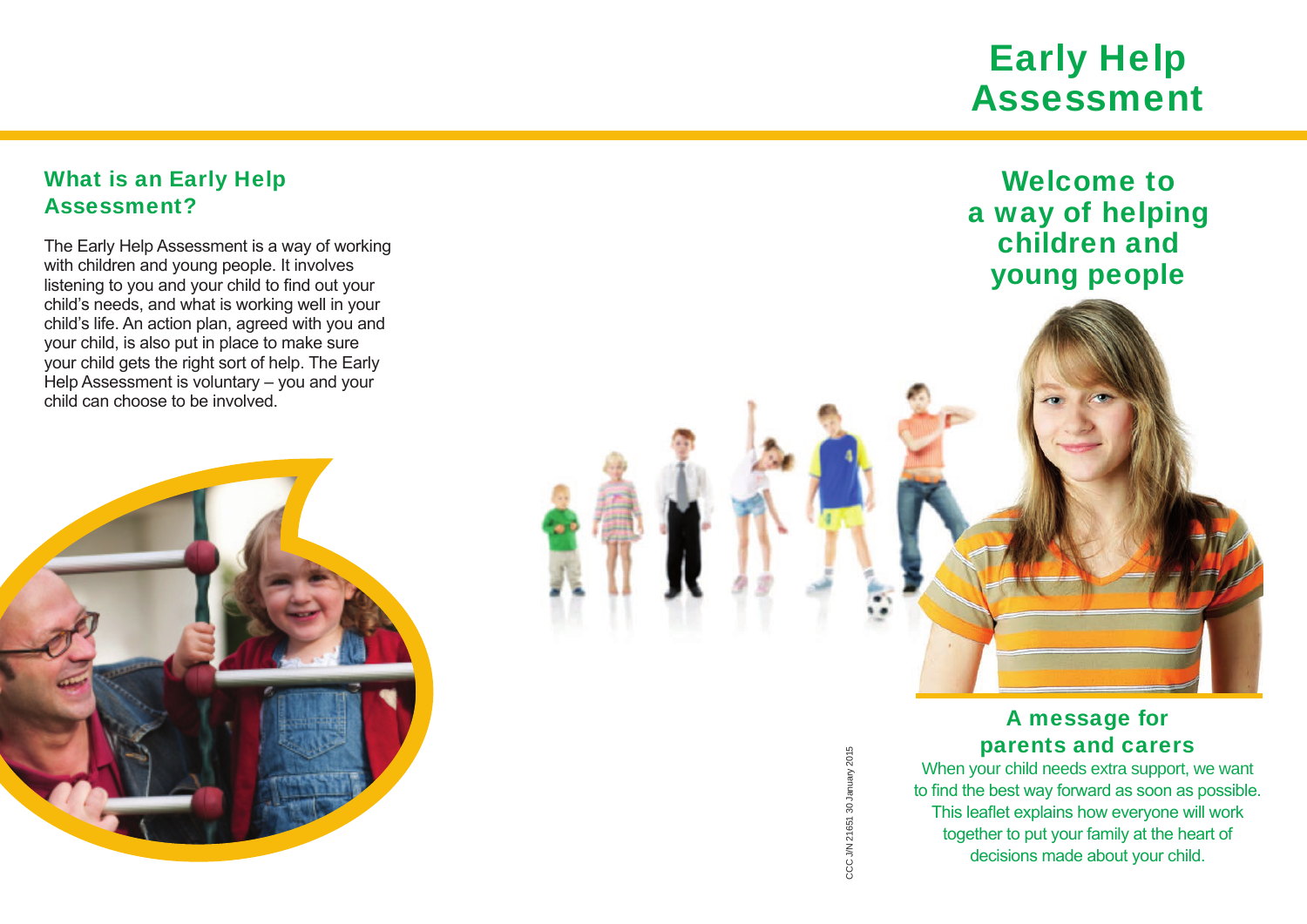# Early Help Assessment

Welcome to

a way of helping children and

young people

## What is an Early Help Assessment?

The Early Help Assessment is a way of working with children and young people. It involves listening to you and your child to find out your child's needs, and what is working well in your child's life. An action plan, agreed with you and your child, is also put in place to make sure your child gets the right sort of help. The Early Help Assessment is voluntary – you and your child can choose to be involved.



CCC J/N 21651 30 January 2015 CCC J/N 21651 30 January 2015

### A message for parents and carers

When your child needs extra support, we want to find the best way forward as soon as possible. This leaflet explains how everyone will work together to put your family at the heart of decisions made about your child.